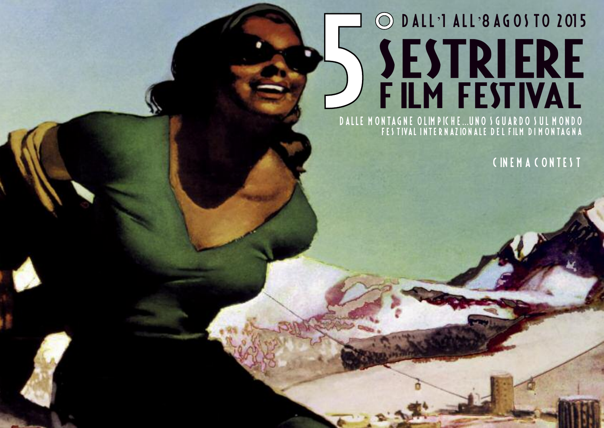# O DALL'I ALL'8 AGOS TO 2015 SESTRIERE DALLE MONTAGNE OLIMPICHE...UNO SGUARDO SUL MONDO

CINEMACONTEST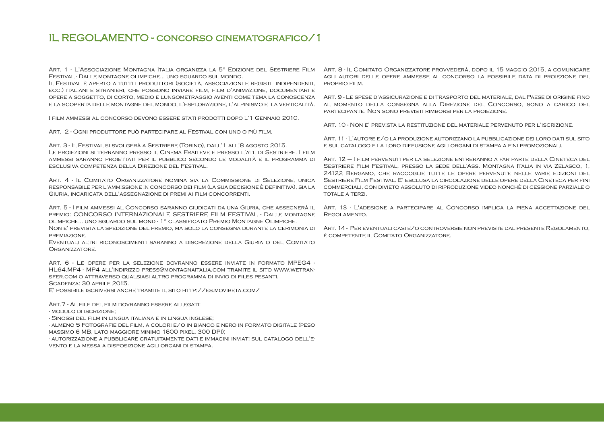### IL REGOLAMENTO - concorso cinematografico/1

Art. 1 - L'Associazione Montagna Italia organizza la 5° Edizione del Sestriere Film Festival - Dalle montagne olimpiche... uno sguardo sul mondo.

Il Festival è aperto a tutti i produttori (società, associazioni e registi indipendenti, ecc.) italiani e stranieri, che possono inviare film, film d'animazione, documentari e opere a soggetto, di corto, medio e lungometraggio aventi come tema la conoscenza e la scoperta delle montagne del mondo, l'esplorazione, l'alpinismo e la verticalità.

I film ammessi al concorso devono essere stati prodotti dopo l'1 Gennaio 2010.

Art. 2 - Ogni produttore può partecipare al Festival con uno o più film.

Art. 3 - Il Festival si svolgerà a Sestriere (Torino), dall'1 all'8 agosto 2015. Le proiezioni si terranno presso il Cinema Fraiteve e presso l'atl di Sestriere. I film ammessi saranno proiettati per il pubblico secondo le modalità e il programma di esclusiva competenza della Direzione del Festival.

Art. 4 - Il Comitato Organizzatore nomina sia la Commissione di Selezione, unica responsabile per l'ammissione in concorso dei film (la sua decisione è definitiva), sia la Giuria, incaricata dell'assegnazione di premi ai film concorrenti.

Art. 5 - I film ammessi al Concorso saranno giudicati da una Giuria, che assegnerà il premio: CONCORSO INTERNAZIONALE SESTRIERE FILM FESTIVAL - Dalle montagne olimpiche... uno sguardo sul mond - 1° classificato Premio Montagne Olimpiche. Non e' prevista la spedizione del premio, ma solo la consegna durante la cerimonia di premiazione.

Eventuali altri riconoscimenti saranno a discrezione della Giuria o del Comitato Organizzatore.

Art. 6 - Le opere per la selezione dovranno essere inviate in formato MPEG4 - HL64.MP4 - MP4 all'indirizzo press@montagnaitalia.com tramite il sito www.wetransfer.com o attraverso qualsiasi altro programma di invio di files pesanti. SCADENZA: 30 APRILE 2015.

E' possibile iscriversi anche tramite il sito http://es.movibeta.com/

Art.7 - Al file del film dovranno essere allegati:

- modulo di iscrizione;

- Sinossi del film in lingua italiana e in lingua inglese;

- almeno 5 Fotografie del film, a colori e/o in bianco e nero in formato digitale (peso massimo 6 MB, lato maggiore minimo 1600 pixel, 300 DPI);

- autorizzazione a pubblicare gratuitamente dati e immagini inviati sul catalogo dell'evento e la messa a disposizione agli organi di stampa.

Art. 8 - Il Comitato Organizzatore provvederà, dopo il 15 maggio 2015, a comunicare agli autori delle opere ammesse al concorso la possibile data di proiezione del proprio film.

Art. 9 - Le spese d'assicurazione e di trasporto del materiale, dal Paese di origine fino al momento della consegna alla Direzione del Concorso, sono a carico del partecipante. Non sono previsti rimborsi per la proiezione.

Art. 10 - Non e' prevista la restituzione del materiale pervenuto per l'iscrizione.

Art. 11 - L'autore e/o la produzione autorizzano la pubblicazione dei loro dati sul sito e sul catalogo e la loro diffusione agli organi di stampa a fini promozionali.

Art. 12 – I film pervenuti per la selezione entreranno a far parte della Cineteca del Sestriere Film Festival, presso la sede dell'Ass. Montagna Italia in via Zelasco, 1, 24122 Bergamo, che raccoglie tutte le opere pervenute nelle varie edizioni del Sestriere Film Festival. E' esclusa la circolazione delle opere della Cineteca per fini commerciali, con divieto assoluto di riproduzione video nonchè di cessione parziale o totale a terzi.

Art. 13 - L'adesione a partecipare al Concorso implica la piena accettazione del Regolamento.

Art. 14 - Per eventuali casi e/o controversie non previste dal presente Regolamento, è competente il Comitato Organizzatore.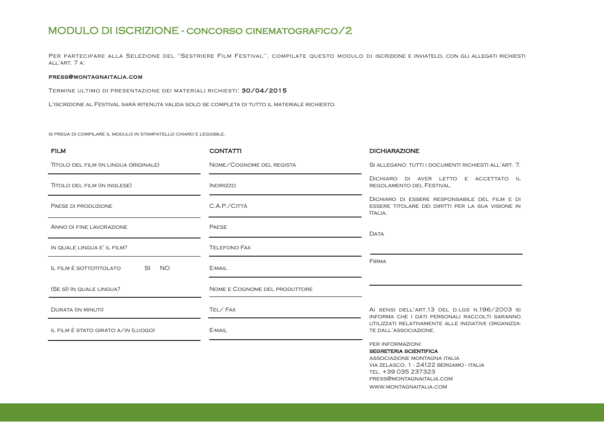## MODULO DI ISCRIZIONE - concorso cinematografico/2

Per partecipare alla Selezione del "Sestriere Film Festival'', compilate questo modulo di iscrizione e inviatelo, con gli allegati richiesti all'art. 7 a:

#### press@montagnaitalia.com

Termine ultimo di presentazione dei materiali richiesti: 30/04/2015

L'iscrizione al Festival sarà ritenuta valida solo se completa di tutto il materiale richiesto.

si prega di compilare il modulo in stampatello chiaro e leggibile.

| <b>FILM</b>                                 | <b>CONTATTI</b>               | <b>DICHIARAZIONE</b>                                                                                                                                                                                       |
|---------------------------------------------|-------------------------------|------------------------------------------------------------------------------------------------------------------------------------------------------------------------------------------------------------|
| TITOLO DEL FILM (IN LINGUA ORIGINALE)       | NOME/COGNOME DEL REGISTA      | SI ALLEGANO: TUTTI I DOCUMENTI RICHIESTI ALL'ART. 7.                                                                                                                                                       |
| TITOLO DEL FILM (IN INGLESE)                | <i><b>INDIRIZZO</b></i>       | DICHIARO DI AVER LETTO E ACCETTATO IL<br>REGOLAMENTO DEL FESTIVAL.                                                                                                                                         |
| PAESE DI PRODUZIONE                         | C.A.P./CITTÀ                  | DICHIARO DI ESSERE RESPONSABILE DEL FILM E DI<br>ESSERE TITOLARE DEI DIRITTI PER LA SUA VISIONE IN<br>ITALIA.                                                                                              |
| ANNO DI FINE LAVORAZIONE                    | <b>PAESE</b>                  | <b>DATA</b>                                                                                                                                                                                                |
| IN QUALE LINGUA E' IL FILM?                 | <b>TELEFONO FAX</b>           |                                                                                                                                                                                                            |
| <b>NO</b><br>IL FILM È SOTTOTITOLATO<br>SI. | E-MAIL                        | <b>FIRMA</b>                                                                                                                                                                                               |
| (SE SÌ) IN QUALE LINGUA?                    | NOME E COGNOME DEL PRODUTTORE |                                                                                                                                                                                                            |
| <b>DURATA (IN MINUTI)</b>                   | TEL/FAX                       | AI SENSI DELL'ART.13 DEL D.LGS N.196/2003 SI<br>INFORMA CHE I DATI PERSONALI RACCOLTI SARANNO                                                                                                              |
| IL FILM È STATO GIRATO A/IN (LUOGO)         | E-MAIL                        | UTILIZZATI RELATIVAMENTE ALLE INIZIATIVE ORGANIZZA-<br>TE DALL'ASSOCIAZIONE.                                                                                                                               |
|                                             |                               | PER INFORMAZIONI:<br><b>SEGRETERIA SCIENTIFICA</b><br>ASSOCIAZIONE MONTAGNA ITALIA<br>VIA ZELASCO, 1 - 24122 BERGAMO - ITALIA<br>TEL. +39 035 237323<br>PRESS@MONTAGNAITALIA.COM<br>WWW.MONTAGNAITALIA.COM |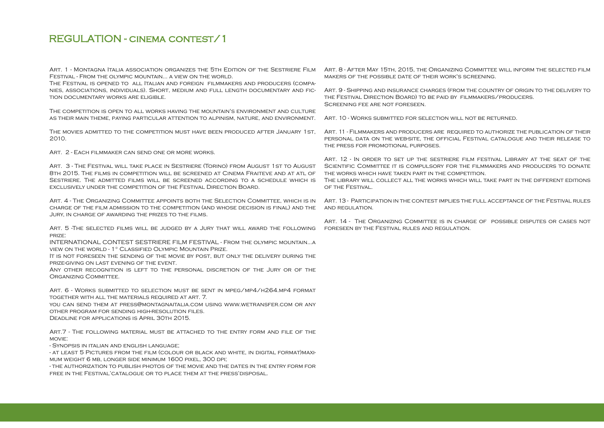## REGULATION - cinema contest/1

Festival - From the olympic mountain... a view on the world.

The Festival is opened to all Italian and foreign filmmakers and producers (companies, associations, individuals). Short, medium and full length documentary and fiction documentary works are eligible.

The competition is open to all works having the mountain's environment and culture as their main theme, paying particular attention to alpinism, nature, and environment. Art. 10 - Works submitted for selection will not be returned.

2010.

Art. 2 - Each filmmaker can send one or more works.

Art. 3 - The Festival will take place in Sestriere (Torino) from August 1st to August 8th 2015. The films in competition will be screened at Cinema Fraiteve and at atl of SESTRIERE. THE ADMITTED FILMS WILL BE SCREENED ACCORDING TO A SCHEDULE WHICH IS THE LIBRARY WILL COLLECT ALL THE WORKS WHICH WILL TAKE PART IN THE DIFFERENT EDITIONS exclusively under the competition of the Festival Direction Board.

ART. 4 - THE ORGANIZING COMMITTEE APPOINTS BOTH THE SELECTION COMMITTEE, WHICH IS IN ART. 13 - PARTICIPATION IN THE CONTEST IMPLIES THE FULL ACCEPTANCE OF THE FESTIVAL RULES charge of the film admission to the competition (and whose decision is final) and the and regulation. Jury, in charge of awarding the prizes to the films.

Art. 5 -The selected films will be judged by a Jury that will award the following foreseen by the Festival rules and regulation. prize:

INTERNATIONAL CONTEST SESTRIERE FILM FESTIVAL - From the olympic mountain...a view on the world - 1° Classified Olympic Mountain Prize.

It is not foreseen the sending of the movie by post, but only the delivery during the prize-giving on last evening of the event.

Any other recognition is left to the personal discretion of the Jury or of the Organizing Committee.

Art. 6 - Works submitted to selection must be sent in mpeg/mp4/h264.mp4 format together with all the materials required at art. 7.

you can send them at press@montagnaitalia.com using www.wetransfer.com or any other program for sending high-resolution files.

Deadline for applications is April 30th 2015.

ART. 7 - The following material must be attached to the entry form and file of the MOVIE<sup>.</sup>

- Synopsis in italian and english language;

- at least 5 Pictures from the film (colour or black and white, in digital format)maximum weight 6 mb, longer side minimum 1600 pixel, 300 dpi;

- the authorization to publish photos of the movie and the dates in the entry form for free in the Festival'catalogue or to place them at the press'disposal.

Art. 1 - Montagna Italia association organizes the 5th Edition of the Sestriere Film — Art. 8 - After May 15th, 2015, the Organizing Committee will inform the selected film makers of the possible date of their work's screening.

> Art. 9 - Shipping and insurance charges (from the country of origin to the delivery to the Festival Direction Board) to be paid by filmmakers/producers. Screening fee are not foreseen.

The movies admitted to the competition must have been produced after January 1st, Art. 11 - Filmmakers and producers are required to authorize the publication of their personal data on the web-site, the official Festival catalogue and their release to the press for promotional purposes.

> ART. 12 - IN ORDER TO SET UP THE SESTRIERE FILM FESTIVAL LIBRARY AT THE SEAT OF THE Scientific Committee it is compulsory for the filmmakers and producers to donate the works which have taken part in the competition.

> of the Festival.

Art. 14 - The Organizing Committee is in charge of possible disputes or cases not